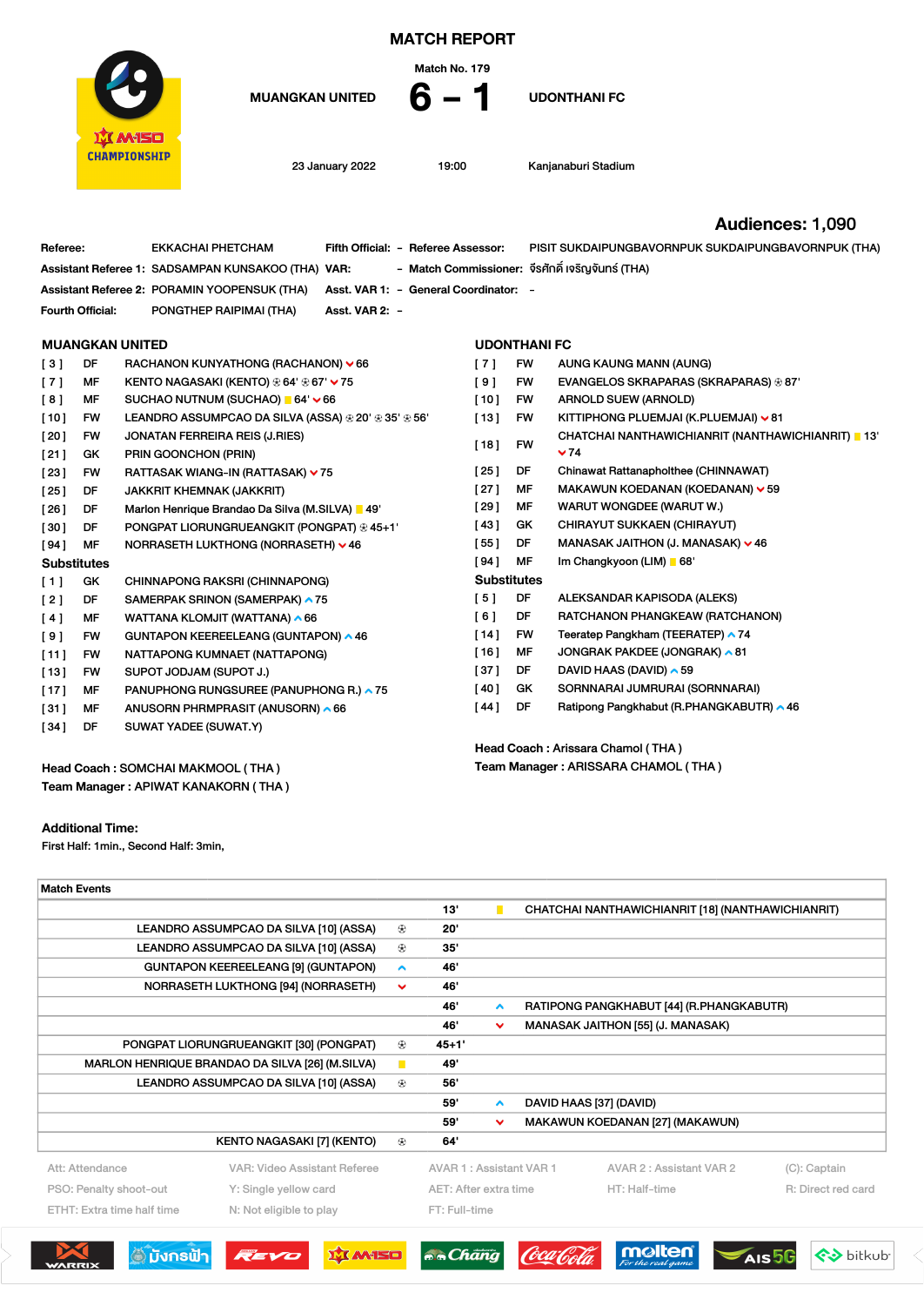

MATCH REPORT

Match No. 179

MUANGKAN UNITED  $6 - 1$  UDONTHANI FC

23 January 2022 19:00 Kanjanaburi Stadium

## Audiences: 1,090

 $\overline{\overline{C}}$ 

| Referee:                          | <b>EKKACHAI PHETCHAM</b>                               | Fifth Official: - Referee Assessor: |                                       |                                     | PISIT SUKDAIPUNGBAVORNPUK SUKDAIPUNGBAVORNPUK (THA) |  |  |  |  |
|-----------------------------------|--------------------------------------------------------|-------------------------------------|---------------------------------------|-------------------------------------|-----------------------------------------------------|--|--|--|--|
|                                   | Assistant Referee 1: SADSAMPAN KUNSAKOO (THA) VAR:     |                                     |                                       |                                     | - Match Commissioner: จีรศักดิ์ เจริญจันทร์ (THA)   |  |  |  |  |
|                                   | Assistant Referee 2: PORAMIN YOOPENSUK (THA)           |                                     | Asst. VAR 1: - General Coordinator: - |                                     |                                                     |  |  |  |  |
| Fourth Official:                  | PONGTHEP RAIPIMAI (THA)                                | Asst. VAR 2: -                      |                                       |                                     |                                                     |  |  |  |  |
|                                   |                                                        |                                     |                                       |                                     |                                                     |  |  |  |  |
|                                   | <b>MUANGKAN UNITED</b>                                 |                                     | <b>UDONTHANI FC</b>                   |                                     |                                                     |  |  |  |  |
| DF<br>[3]                         | RACHANON KUNYATHONG (RACHANON) $\vee$ 66               |                                     | [7]                                   | <b>FW</b>                           | AUNG KAUNG MANN (AUNG)                              |  |  |  |  |
| [7]<br>MF                         | KENTO NAGASAKI (KENTO) ⊛ 64' ⊛ 67' ∨ 75                |                                     | $[9]$                                 | FW                                  | EVANGELOS SKRAPARAS (SKRAPARAS) ⊛ 87'               |  |  |  |  |
| [8]<br><b>MF</b>                  | SUCHAO NUTNUM (SUCHAO) ■ 64' V 66                      |                                     | $[10]$                                | FW                                  | <b>ARNOLD SUEW (ARNOLD)</b>                         |  |  |  |  |
| $[10]$<br><b>FW</b>               | LEANDRO ASSUMPCAO DA SILVA (ASSA) ⊕ 20' ⊕ 35' ⊕ 56'    |                                     | [13]                                  | FW                                  | KITTIPHONG PLUEMJAI (K.PLUEMJAI) V 81               |  |  |  |  |
| [20]<br><b>FW</b>                 | <b>JONATAN FERREIRA REIS (J.RIES)</b>                  |                                     |                                       |                                     | CHATCHAI NANTHAWICHIANRIT (NANTHAWICHIANRIT) 13'    |  |  |  |  |
| [21]<br>GK                        | PRIN GOONCHON (PRIN)                                   |                                     | $[18]$                                | <b>FW</b>                           | $~\mathbf{\vee}$ 74                                 |  |  |  |  |
| [23]<br><b>FW</b>                 | RATTASAK WIANG-IN (RATTASAK) v 75                      |                                     | [25]                                  | DF                                  | Chinawat Rattanapholthee (CHINNAWAT)                |  |  |  |  |
| [25]<br>DF                        | <b>JAKKRIT KHEMNAK (JAKKRIT)</b>                       |                                     | [27]                                  | МF                                  | MAKAWUN KOEDANAN (KOEDANAN) $\vee$ 59               |  |  |  |  |
| DF<br>[26]                        | Marlon Henrique Brandao Da Silva (M.SILVA)   49'       |                                     | [29]                                  | MF                                  | WARUT WONGDEE (WARUT W.)                            |  |  |  |  |
| [30]<br>DF                        | PONGPAT LIORUNGRUEANGKIT (PONGPAT) $\circledast$ 45+1' |                                     | [43]                                  | GK                                  | <b>CHIRAYUT SUKKAEN (CHIRAYUT)</b>                  |  |  |  |  |
| [94]<br>МF                        | NORRASETH LUKTHONG (NORRASETH) ∨ 46                    |                                     | [55]                                  | DF                                  | MANASAK JAITHON (J. MANASAK) v 46                   |  |  |  |  |
| <b>Substitutes</b>                |                                                        |                                     | [94]                                  | MF                                  | Im Changkyoon (LIM) 68'                             |  |  |  |  |
| $[1]$<br>GK                       | CHINNAPONG RAKSRI (CHINNAPONG)                         |                                     | <b>Substitutes</b>                    |                                     |                                                     |  |  |  |  |
| [2]<br>DF                         | SAMERPAK SRINON (SAMERPAK) ▲ 75                        |                                     | [5]                                   | DF                                  | ALEKSANDAR KAPISODA (ALEKS)                         |  |  |  |  |
| [4]<br>MF                         | WATTANA KLOMJIT (WATTANA) ^ 66                         |                                     | [6]                                   | DF                                  | RATCHANON PHANGKEAW (RATCHANON)                     |  |  |  |  |
| [9]<br><b>FW</b>                  | GUNTAPON KEEREELEANG (GUNTAPON) ▲ 46                   |                                     | $[14]$                                | FW                                  | Teeratep Pangkham (TEERATEP) ▲ 74                   |  |  |  |  |
| [11]<br><b>FW</b>                 | NATTAPONG KUMNAET (NATTAPONG)                          |                                     | $[16]$                                | MF                                  | JONGRAK PAKDEE (JONGRAK) ^81                        |  |  |  |  |
| $[13]$<br><b>FW</b>               | SUPOT JODJAM (SUPOT J.)                                |                                     | $[37]$                                | DF                                  | DAVID HAAS (DAVID) ^ 59                             |  |  |  |  |
| $[17]$<br>MF                      | PANUPHONG RUNGSUREE (PANUPHONG R.) ^ 75                |                                     | [40]                                  | GK                                  | SORNNARAI JUMRURAI (SORNNARAI)                      |  |  |  |  |
| [31]<br>MF                        | ANUSORN PHRMPRASIT (ANUSORN) ^66                       |                                     | [44]                                  | DF                                  | Ratipong Pangkhabut (R.PHANGKABUTR) ^ 46            |  |  |  |  |
| [34]<br>DF                        | SUWAT YADEE (SUWAT.Y)                                  |                                     |                                       |                                     |                                                     |  |  |  |  |
|                                   |                                                        |                                     | Head Coach: Arissara Chamol (THA)     |                                     |                                                     |  |  |  |  |
| Head Coach: SOMCHAI MAKMOOL (THA) |                                                        |                                     |                                       | Team Manager: ARISSARA CHAMOL (THA) |                                                     |  |  |  |  |

Head Coach : SOMCHAI MAKMOOL ( THA ) Team Manager : APIWAT KANAKORN ( THA )

## Additional Time:

First Half: 1min., Second Half: 3min,

| <b>Match Events</b>                             |                              |                |                         |                     |                                                                      |
|-------------------------------------------------|------------------------------|----------------|-------------------------|---------------------|----------------------------------------------------------------------|
|                                                 |                              |                | 13'                     | п                   | CHATCHAI NANTHAWICHIANRIT [18] (NANTHAWICHIANRIT)                    |
| LEANDRO ASSUMPCAO DA SILVA [10] (ASSA)          |                              |                | 20"                     |                     |                                                                      |
| LEANDRO ASSUMPCAO DA SILVA [10] (ASSA)          |                              |                | 35'                     |                     |                                                                      |
| <b>GUNTAPON KEEREELEANG [9] (GUNTAPON)</b>      |                              |                | 46'                     |                     |                                                                      |
| NORRASETH LUKTHONG [94] (NORRASETH)             |                              |                | 46'                     |                     |                                                                      |
|                                                 |                              |                | 46'                     | $\triangle$         | RATIPONG PANGKHABUT [44] (R.PHANGKABUTR)                             |
|                                                 |                              |                | 46'                     | $\checkmark$        | MANASAK JAITHON [55] (J. MANASAK)                                    |
| PONGPAT LIORUNGRUEANGKIT [30] (PONGPAT)         |                              |                | $45 + 1'$               |                     |                                                                      |
| MARLON HENRIQUE BRANDAO DA SILVA [26] (M.SILVA) |                              | $\blacksquare$ | 49'                     |                     |                                                                      |
| LEANDRO ASSUMPCAO DA SILVA [10] (ASSA)          |                              | $\circledast$  | 56'                     |                     |                                                                      |
|                                                 |                              |                | 59'                     | $\hat{\phantom{a}}$ | DAVID HAAS [37] (DAVID)                                              |
|                                                 |                              |                | 59'                     | $\checkmark$        | MAKAWUN KOEDANAN [27] (MAKAWUN)                                      |
|                                                 | KENTO NAGASAKI [7] (KENTO)   | ⊕              | 64'                     |                     |                                                                      |
| Att: Attendance                                 | VAR: Video Assistant Referee |                | AVAR 1: Assistant VAR 1 |                     | AVAR 2 : Assistant VAR 2<br>(C): Captain                             |
| PSO: Penalty shoot-out                          | Y: Single yellow card        |                | AET: After extra time   |                     | HT: Half-time<br>R: Direct red card                                  |
| ETHT: Extra time half time                      | N: Not eligible to play      |                | FT: Full-time           |                     |                                                                      |
|                                                 |                              |                |                         |                     |                                                                      |
| ึ มังกรฟ้า<br>WARRIX                            | <b>IX MISO</b><br>REVO       |                | <b>RR</b> Ghang         |                     | mølten<br><b>←→</b> bitkub<br>AIS <sub>56</sub><br>For the real game |